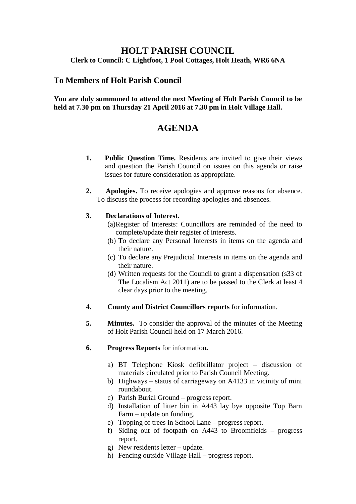## **HOLT PARISH COUNCIL Clerk to Council: C Lightfoot, 1 Pool Cottages, Holt Heath, WR6 6NA**

## **To Members of Holt Parish Council**

#### **You are duly summoned to attend the next Meeting of Holt Parish Council to be held at 7.30 pm on Thursday 21 April 2016 at 7.30 pm in Holt Village Hall.**

# **AGENDA**

- **1. Public Question Time.** Residents are invited to give their views and question the Parish Council on issues on this agenda or raise issues for future consideration as appropriate.
- **2. Apologies.** To receive apologies and approve reasons for absence. To discuss the process for recording apologies and absences.

#### **3. Declarations of Interest.**

- (a)Register of Interests: Councillors are reminded of the need to complete/update their register of interests.
- (b) To declare any Personal Interests in items on the agenda and their nature.
- (c) To declare any Prejudicial Interests in items on the agenda and their nature.
- (d) Written requests for the Council to grant a dispensation (s33 of The Localism Act 2011) are to be passed to the Clerk at least 4 clear days prior to the meeting.
- **4. County and District Councillors reports** for information.
- **5. Minutes.** To consider the approval of the minutes of the Meeting of Holt Parish Council held on 17 March 2016.
- **6. Progress Reports** for information**.**
	- a) BT Telephone Kiosk defibrillator project discussion of materials circulated prior to Parish Council Meeting.
	- b) Highways status of carriageway on A4133 in vicinity of mini roundabout.
	- c) Parish Burial Ground progress report.
	- d) Installation of litter bin in A443 lay bye opposite Top Barn Farm – update on funding.
	- e) Topping of trees in School Lane progress report.
	- f) Siding out of footpath on A443 to Broomfields progress report.
	- g) New residents letter update.
	- h) Fencing outside Village Hall progress report.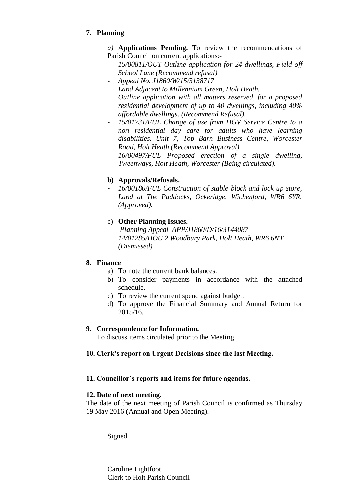## **7. Planning**

*a)* **Applications Pending.** To review the recommendations of Parish Council on current applications:-

- **-** *15/00811/OUT Outline application for 24 dwellings, Field off School Lane (Recommend refusal)*
- **-** *Appeal No. J1860/W/15/3138717 Land Adjacent to Millennium Green, Holt Heath. Outline application with all matters reserved, for a proposed residential development of up to 40 dwellings, including 40% affordable dwellings. (Recommend Refusal).*
- **-** *15/01731/FUL Change of use from HGV Service Centre to a non residential day care for adults who have learning disabilities. Unit 7, Top Barn Business Centre, Worcester Road, Holt Heath (Recommend Approval).*
- **-** *16/00497/FUL Proposed erection of a single dwelling, Tweenways, Holt Heath, Worcester (Being circulated).*

## **b) Approvals/Refusals.**

**-** *16/00180/FUL Construction of stable block and lock up store, Land at The Paddocks, Ockeridge, Wichenford, WR6 6YR. (Approved).*

## c) **Other Planning Issues.**

**-** *Planning Appeal APP/J1860/D/16/3144087 14/01285/HOU 2 Woodbury Park, Holt Heath, WR6 6NT (Dismissed)*

## **8. Finance**

- a) To note the current bank balances.
- b) To consider payments in accordance with the attached schedule.
- c) To review the current spend against budget.
- d) To approve the Financial Summary and Annual Return for 2015/16.

## **9. Correspondence for Information.**

To discuss items circulated prior to the Meeting.

## **10. Clerk's report on Urgent Decisions since the last Meeting.**

## **11. Councillor's reports and items for future agendas.**

## **12. Date of next meeting.**

The date of the next meeting of Parish Council is confirmed as Thursday 19 May 2016 (Annual and Open Meeting).

Signed

Caroline Lightfoot Clerk to Holt Parish Council